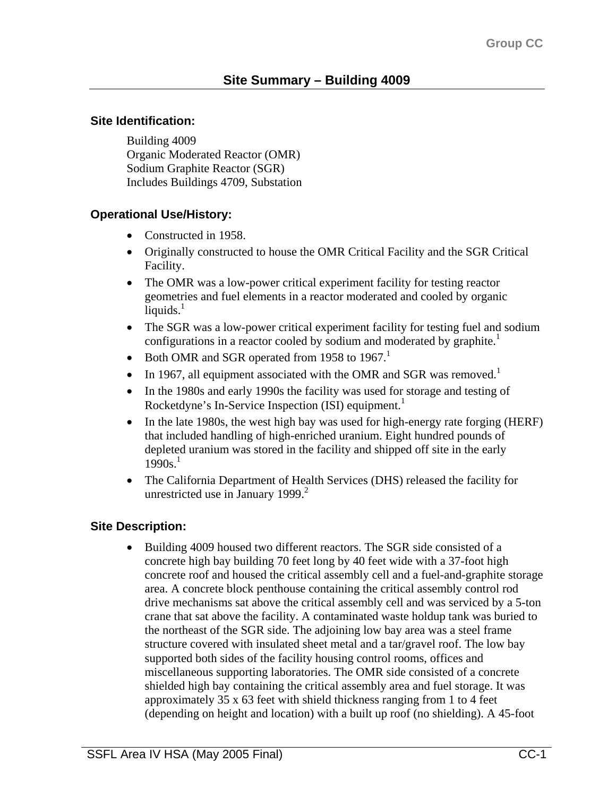#### **Site Identification:**

Building 4009 Organic Moderated Reactor (OMR) Sodium Graphite Reactor (SGR) Includes Buildings 4709, Substation

## **Operational Use/History:**

- Constructed in 1958.
- Originally constructed to house the OMR Critical Facility and the SGR Critical Facility.
- The OMR was a low-power critical experiment facility for testing reactor geometries and fuel elements in a reactor moderated and cooled by organic liquids. $<sup>1</sup>$ </sup>
- The SGR was a low-power critical experiment facility for testing fuel and sodium configurations in a reactor cooled by sodium and moderated by graphite.<sup>1</sup>
- Both OMR and SGR operated from 1958 to 1967.<sup>1</sup>
- In 1967, all equipment associated with the OMR and SGR was removed.<sup>1</sup>
- In the 1980s and early 1990s the facility was used for storage and testing of Rocketdyne's In-Service Inspection (ISI) equipment.<sup>1</sup>
- In the late 1980s, the west high bay was used for high-energy rate forging (HERF) that included handling of high-enriched uranium. Eight hundred pounds of depleted uranium was stored in the facility and shipped off site in the early  $1990s.<sup>1</sup>$
- The California Department of Health Services (DHS) released the facility for unrestricted use in January 1999. $2$

## **Site Description:**

• Building 4009 housed two different reactors. The SGR side consisted of a concrete high bay building 70 feet long by 40 feet wide with a 37-foot high concrete roof and housed the critical assembly cell and a fuel-and-graphite storage area. A concrete block penthouse containing the critical assembly control rod drive mechanisms sat above the critical assembly cell and was serviced by a 5-ton crane that sat above the facility. A contaminated waste holdup tank was buried to the northeast of the SGR side. The adjoining low bay area was a steel frame structure covered with insulated sheet metal and a tar/gravel roof. The low bay supported both sides of the facility housing control rooms, offices and miscellaneous supporting laboratories. The OMR side consisted of a concrete shielded high bay containing the critical assembly area and fuel storage. It was approximately 35 x 63 feet with shield thickness ranging from 1 to 4 feet (depending on height and location) with a built up roof (no shielding). A 45-foot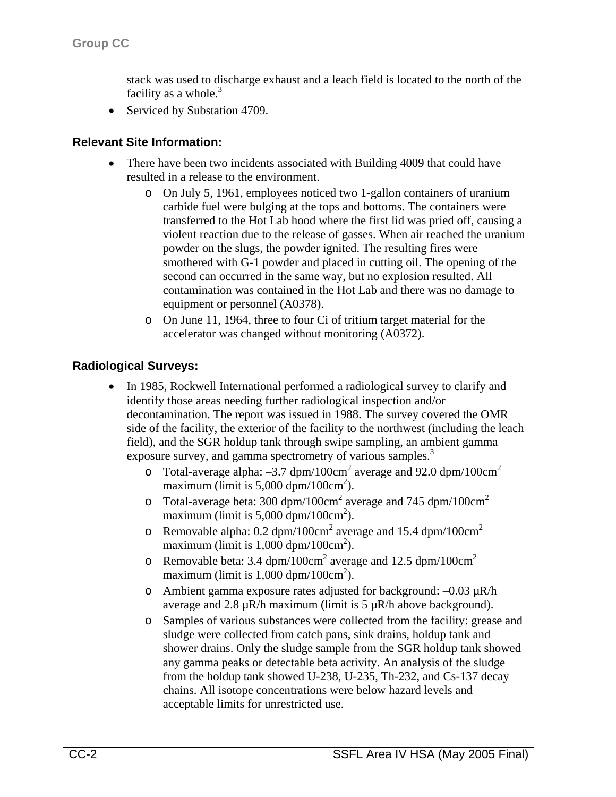stack was used to discharge exhaust and a leach field is located to the north of the facility as a whole. $3$ 

• Serviced by Substation 4709.

#### **Relevant Site Information:**

- There have been two incidents associated with Building 4009 that could have resulted in a release to the environment.
	- o On July 5, 1961, employees noticed two 1-gallon containers of uranium carbide fuel were bulging at the tops and bottoms. The containers were transferred to the Hot Lab hood where the first lid was pried off, causing a violent reaction due to the release of gasses. When air reached the uranium powder on the slugs, the powder ignited. The resulting fires were smothered with G-1 powder and placed in cutting oil. The opening of the second can occurred in the same way, but no explosion resulted. All contamination was contained in the Hot Lab and there was no damage to equipment or personnel (A0378).
	- o On June 11, 1964, three to four Ci of tritium target material for the accelerator was changed without monitoring (A0372).

#### **Radiological Surveys:**

- In 1985, Rockwell International performed a radiological survey to clarify and identify those areas needing further radiological inspection and/or decontamination. The report was issued in 1988. The survey covered the OMR side of the facility, the exterior of the facility to the northwest (including the leach field), and the SGR holdup tank through swipe sampling, an ambient gamma exposure survey, and gamma spectrometry of various samples.<sup>3</sup>
	- $\degree$  Total-average alpha: -3.7 dpm/100cm<sup>2</sup> average and 92.0 dpm/100cm<sup>2</sup> maximum (limit is  $5,000$  dpm/100cm<sup>2</sup>).
	- $\degree$  Total-average beta: 300 dpm/100cm<sup>2</sup> average and 745 dpm/100cm<sup>2</sup> maximum (limit is  $5,000 \text{ dpm}/100 \text{cm}^2$ ).
	- $\degree$  Removable alpha: 0.2 dpm/100cm<sup>2</sup> average and 15.4 dpm/100cm<sup>2</sup> maximum (limit is  $1,000$  dpm/ $100 \text{cm}^2$ ).
	- $\circ$  Removable beta: 3.4 dpm/100cm<sup>2</sup> average and 12.5 dpm/100cm<sup>2</sup> maximum (limit is  $1,000$  dpm/100cm<sup>2</sup>).
	- o Ambient gamma exposure rates adjusted for background: –0.03 µR/h average and 2.8  $\mu$ R/h maximum (limit is 5  $\mu$ R/h above background).
	- o Samples of various substances were collected from the facility: grease and sludge were collected from catch pans, sink drains, holdup tank and shower drains. Only the sludge sample from the SGR holdup tank showed any gamma peaks or detectable beta activity. An analysis of the sludge from the holdup tank showed U-238, U-235, Th-232, and Cs-137 decay chains. All isotope concentrations were below hazard levels and acceptable limits for unrestricted use.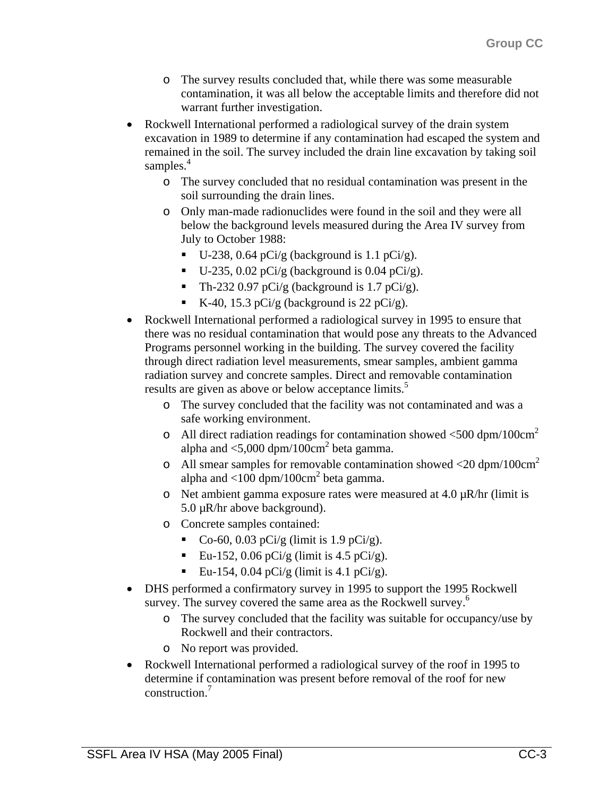- o The survey results concluded that, while there was some measurable contamination, it was all below the acceptable limits and therefore did not warrant further investigation.
- Rockwell International performed a radiological survey of the drain system excavation in 1989 to determine if any contamination had escaped the system and remained in the soil. The survey included the drain line excavation by taking soil samples. $4$ 
	- o The survey concluded that no residual contamination was present in the soil surrounding the drain lines.
	- o Only man-made radionuclides were found in the soil and they were all below the background levels measured during the Area IV survey from July to October 1988:
		- $\blacksquare$  U-238, 0.64 pCi/g (background is 1.1 pCi/g).
		- $\blacksquare$  U-235, 0.02 pCi/g (background is 0.04 pCi/g).
		- Th-232 0.97 pCi/g (background is  $1.7$  pCi/g).
		- K-40, 15.3 pCi/g (background is 22 pCi/g).
- Rockwell International performed a radiological survey in 1995 to ensure that there was no residual contamination that would pose any threats to the Advanced Programs personnel working in the building. The survey covered the facility through direct radiation level measurements, smear samples, ambient gamma radiation survey and concrete samples. Direct and removable contamination results are given as above or below acceptance limits.<sup>5</sup>
	- o The survey concluded that the facility was not contaminated and was a safe working environment.
	- o All direct radiation readings for contamination showed  $\langle 500 \text{ dpm}/100 \text{cm}^2$ alpha and  $\langle 5,000 \text{ dpm}/100 \text{cm}^2$  beta gamma.
	- o All smear samples for removable contamination showed  $\langle 20 \text{ dpm}/100 \text{cm}^2$ alpha and  $\langle 100 \text{ dpm}/100 \text{cm}^2$  beta gamma.
	- o Net ambient gamma exposure rates were measured at  $4.0 \mu R/hr$  (limit is 5.0 µR/hr above background).
	- o Concrete samples contained:
		- Co-60, 0.03 pCi/g (limit is 1.9 pCi/g).
		- Eu-152, 0.06 pCi/g (limit is 4.5 pCi/g).
		- Eu-154, 0.04 pCi/g (limit is 4.1 pCi/g).
- DHS performed a confirmatory survey in 1995 to support the 1995 Rockwell survey. The survey covered the same area as the Rockwell survey.<sup>6</sup>
	- o The survey concluded that the facility was suitable for occupancy/use by Rockwell and their contractors.
	- o No report was provided.
- Rockwell International performed a radiological survey of the roof in 1995 to determine if contamination was present before removal of the roof for new construction.<sup>7</sup>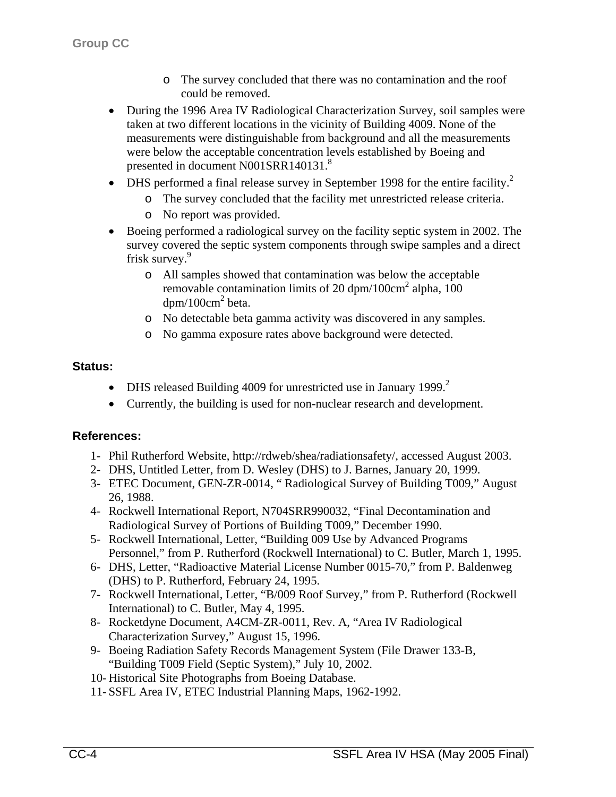- o The survey concluded that there was no contamination and the roof could be removed.
- During the 1996 Area IV Radiological Characterization Survey, soil samples were taken at two different locations in the vicinity of Building 4009. None of the measurements were distinguishable from background and all the measurements were below the acceptable concentration levels established by Boeing and presented in document N001SRR140131.<sup>8</sup>
- DHS performed a final release survey in September 1998 for the entire facility.<sup>2</sup>
	- o The survey concluded that the facility met unrestricted release criteria.
	- o No report was provided.
- Boeing performed a radiological survey on the facility septic system in 2002. The survey covered the septic system components through swipe samples and a direct frisk survey.<sup>9</sup>
	- o All samples showed that contamination was below the acceptable removable contamination limits of 20 dpm/100cm<sup>2</sup> alpha, 100  $dpm/100cm^2$  beta.
	- o No detectable beta gamma activity was discovered in any samples.
	- o No gamma exposure rates above background were detected.

# **Status:**

- DHS released Building 4009 for unrestricted use in January 1999. $^2$
- Currently, the building is used for non-nuclear research and development.

# **References:**

- 1- Phil Rutherford Website, http://rdweb/shea/radiationsafety/, accessed August 2003.
- 2- DHS, Untitled Letter, from D. Wesley (DHS) to J. Barnes, January 20, 1999.
- 3- ETEC Document, GEN-ZR-0014, " Radiological Survey of Building T009," August 26, 1988.
- 4- Rockwell International Report, N704SRR990032, "Final Decontamination and Radiological Survey of Portions of Building T009," December 1990.
- 5- Rockwell International, Letter, "Building 009 Use by Advanced Programs Personnel," from P. Rutherford (Rockwell International) to C. Butler, March 1, 1995.
- 6- DHS, Letter, "Radioactive Material License Number 0015-70," from P. Baldenweg (DHS) to P. Rutherford, February 24, 1995.
- 7- Rockwell International, Letter, "B/009 Roof Survey," from P. Rutherford (Rockwell International) to C. Butler, May 4, 1995.
- 8- Rocketdyne Document, A4CM-ZR-0011, Rev. A, "Area IV Radiological Characterization Survey," August 15, 1996.
- 9- Boeing Radiation Safety Records Management System (File Drawer 133-B, "Building T009 Field (Septic System)," July 10, 2002.
- 10- Historical Site Photographs from Boeing Database.
- 11- SSFL Area IV, ETEC Industrial Planning Maps, 1962-1992.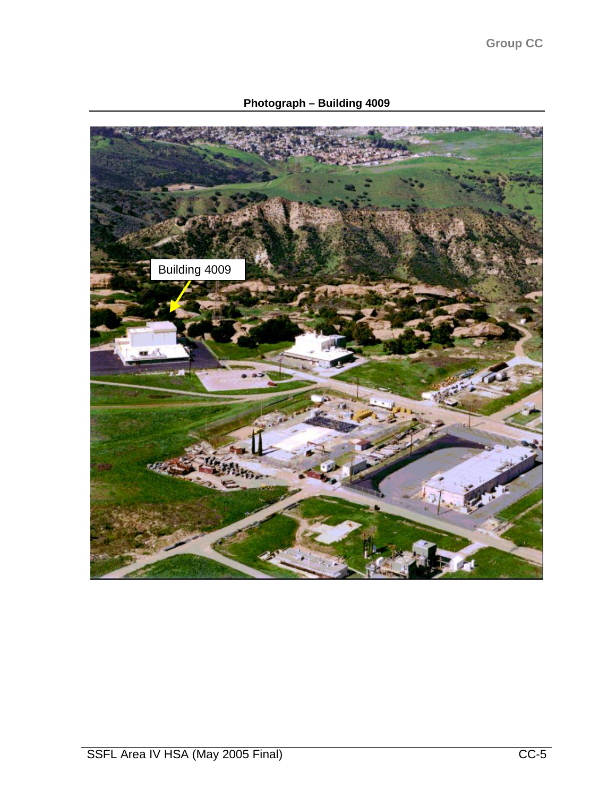**Photograph – Building 4009**